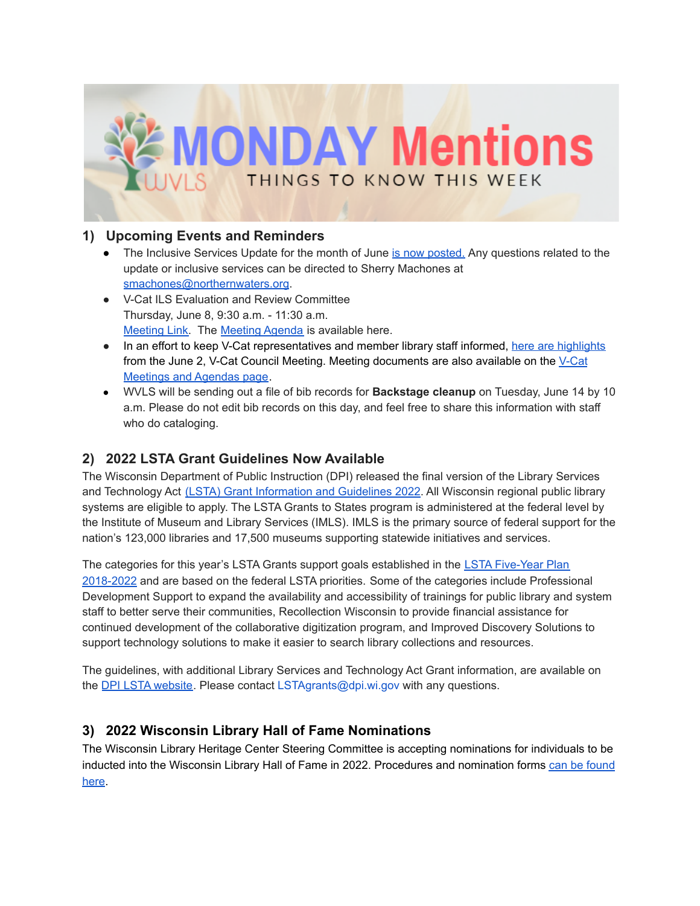

#### **1) Upcoming Events and Reminders**

- The Inclusive Services Update for the month of June is now [posted.](https://wvls.org/inclusive-services-update-june/) Any questions related to the update or inclusive services can be directed to Sherry Machones at [smachones@northernwaters.org](mailto:smachones@northernwaters.org).
- V-Cat ILS Evaluation and Review Committee Thursday, June 8, 9:30 a.m. - 11:30 a.m. [Meeting](https://global.gotomeeting.com/join/345322229) Link. The [Meeting](https://www.wvls.org/v-cat-agenda-exhibits/) Agenda is available here.
- In an effort to keep V-Cat representatives and member library staff informed, here are [highlights](https://docs.google.com/document/d/18qYL9Ww2q1jVsVFz5HVXqmY6UwuXXenM3KqWzqg2K5w/edit?usp=sharing) from the June 2, V-Cat Council Meeting. Meeting documents are also available on the [V-Cat](https://www.wvls.org/v-cat-agenda-exhibits/) [Meetings](https://www.wvls.org/v-cat-agenda-exhibits/) and Agendas page.
- WVLS will be sending out a file of bib records for **Backstage cleanup** on Tuesday, June 14 by 10 a.m. Please do not edit bib records on this day, and feel free to share this information with staff who do cataloging.

## **2) 2022 LSTA Grant Guidelines Now Available**

The Wisconsin Department of Public Instruction (DPI) released the final version of the Library Services and Technology Act (LSTA) Grant [Information](https://dpi.wi.gov/sites/default/files/imce/libraries/Publib/LSTA/LSTA_2022_Grant_Information_and_Guidelines.pdf) and Guidelines 2022. All Wisconsin regional public library systems are eligible to apply. The LSTA Grants to States program is administered at the federal level by the Institute of Museum and Library Services (IMLS). IMLS is the primary source of federal support for the nation's 123,000 libraries and 17,500 museums supporting statewide initiatives and services.

The categories for this year's LSTA Grants support goals established in the LSTA [Five-Year](https://dpi.wi.gov/sites/default/files/imce/pld/pdf/WisconsinLSTAPlan2018-2022-FINAL-IMLS-Submission.pdf) Plan [2018-2022](https://dpi.wi.gov/sites/default/files/imce/pld/pdf/WisconsinLSTAPlan2018-2022-FINAL-IMLS-Submission.pdf) and are based on the federal LSTA priorities. Some of the categories include Professional Development Support to expand the availability and accessibility of trainings for public library and system staff to better serve their communities, Recollection Wisconsin to provide financial assistance for continued development of the collaborative digitization program, and Improved Discovery Solutions to support technology solutions to make it easier to search library collections and resources.

The guidelines, with additional Library Services and Technology Act Grant information, are available on the **DPI LSTA [website](https://dpi.wi.gov/pld/lsta)**. Please contact LSTAgrants@dpi.wi.gov with any questions.

### **3) 2022 Wisconsin Library Hall of Fame Nominations**

The Wisconsin Library Heritage Center Steering Committee is accepting nominations for individuals to be inducted into the Wisconsin Library Hall of Fame in 2022. Procedures and nomination forms can be [found](http://heritage.wisconsinlibraries.org/nominate) [here](http://heritage.wisconsinlibraries.org/nominate).